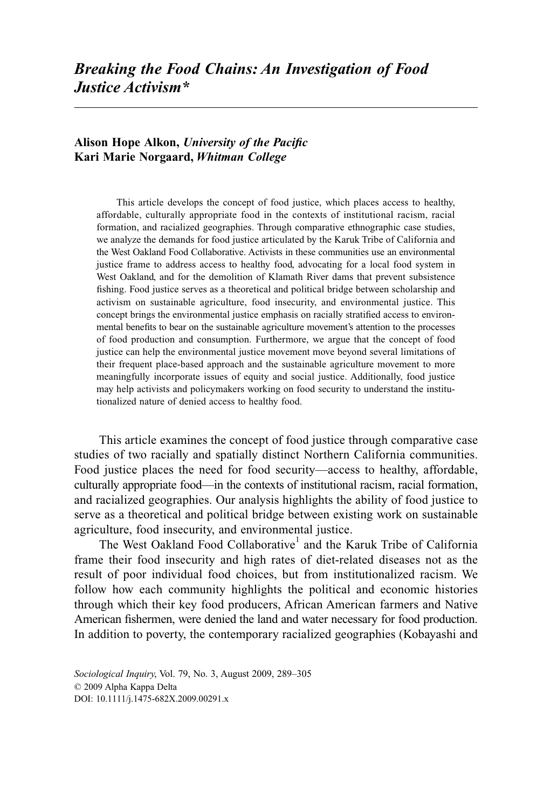# **Alison Hope Alkon,** *University of the Pacific* **Kari Marie Norgaard,** *Whitman College*

This article develops the concept of food justice, which places access to healthy, affordable, culturally appropriate food in the contexts of institutional racism, racial formation, and racialized geographies. Through comparative ethnographic case studies, we analyze the demands for food justice articulated by the Karuk Tribe of California and the West Oakland Food Collaborative. Activists in these communities use an environmental justice frame to address access to healthy food, advocating for a local food system in West Oakland, and for the demolition of Klamath River dams that prevent subsistence fishing. Food justice serves as a theoretical and political bridge between scholarship and activism on sustainable agriculture, food insecurity, and environmental justice. This concept brings the environmental justice emphasis on racially stratified access to environmental benefits to bear on the sustainable agriculture movement's attention to the processes of food production and consumption. Furthermore, we argue that the concept of food justice can help the environmental justice movement move beyond several limitations of their frequent place-based approach and the sustainable agriculture movement to more meaningfully incorporate issues of equity and social justice. Additionally, food justice may help activists and policymakers working on food security to understand the institutionalized nature of denied access to healthy food.

This article examines the concept of food justice through comparative case studies of two racially and spatially distinct Northern California communities. Food justice places the need for food security—access to healthy, affordable, culturally appropriate food—in the contexts of institutional racism, racial formation, and racialized geographies. Our analysis highlights the ability of food justice to serve as a theoretical and political bridge between existing work on sustainable agriculture, food insecurity, and environmental justice.

The West Oakland Food Collaborative<sup>1</sup> and the Karuk Tribe of California frame their food insecurity and high rates of diet-related diseases not as the result of poor individual food choices, but from institutionalized racism. We follow how each community highlights the political and economic histories through which their key food producers, African American farmers and Native American fishermen, were denied the land and water necessary for food production. In addition to poverty, the contemporary racialized geographies (Kobayashi and

*Sociological Inquiry*, Vol. 79, No. 3, August 2009, 289–305 © 2009 Alpha Kappa Delta DOI: 10.1111/j.1475-682X.2009.00291.x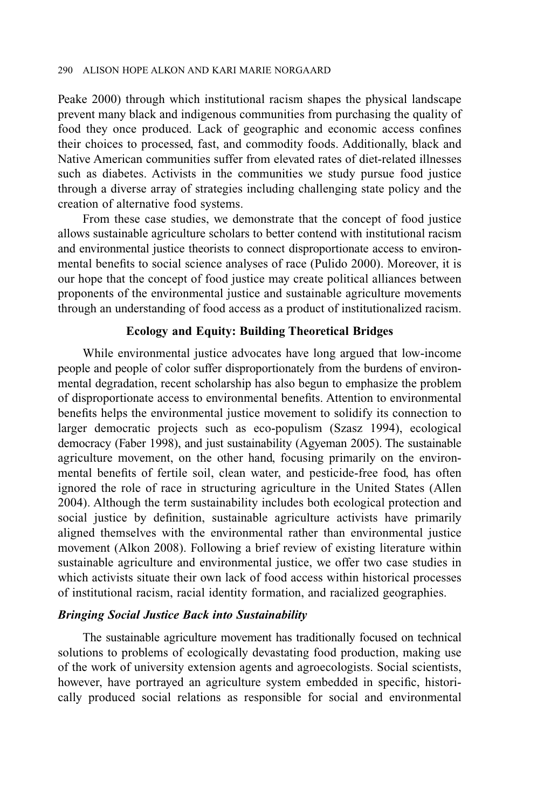Peake 2000) through which institutional racism shapes the physical landscape prevent many black and indigenous communities from purchasing the quality of food they once produced. Lack of geographic and economic access confines their choices to processed, fast, and commodity foods. Additionally, black and Native American communities suffer from elevated rates of diet-related illnesses such as diabetes. Activists in the communities we study pursue food justice through a diverse array of strategies including challenging state policy and the creation of alternative food systems.

From these case studies, we demonstrate that the concept of food justice allows sustainable agriculture scholars to better contend with institutional racism and environmental justice theorists to connect disproportionate access to environmental benefits to social science analyses of race (Pulido 2000). Moreover, it is our hope that the concept of food justice may create political alliances between proponents of the environmental justice and sustainable agriculture movements through an understanding of food access as a product of institutionalized racism.

### **Ecology and Equity: Building Theoretical Bridges**

While environmental justice advocates have long argued that low-income people and people of color suffer disproportionately from the burdens of environmental degradation, recent scholarship has also begun to emphasize the problem of disproportionate access to environmental benefits. Attention to environmental benefits helps the environmental justice movement to solidify its connection to larger democratic projects such as eco-populism (Szasz 1994), ecological democracy (Faber 1998), and just sustainability (Agyeman 2005). The sustainable agriculture movement, on the other hand, focusing primarily on the environmental benefits of fertile soil, clean water, and pesticide-free food, has often ignored the role of race in structuring agriculture in the United States (Allen 2004). Although the term sustainability includes both ecological protection and social justice by definition, sustainable agriculture activists have primarily aligned themselves with the environmental rather than environmental justice movement (Alkon 2008). Following a brief review of existing literature within sustainable agriculture and environmental justice, we offer two case studies in which activists situate their own lack of food access within historical processes of institutional racism, racial identity formation, and racialized geographies.

## *Bringing Social Justice Back into Sustainability*

The sustainable agriculture movement has traditionally focused on technical solutions to problems of ecologically devastating food production, making use of the work of university extension agents and agroecologists. Social scientists, however, have portrayed an agriculture system embedded in specific, historically produced social relations as responsible for social and environmental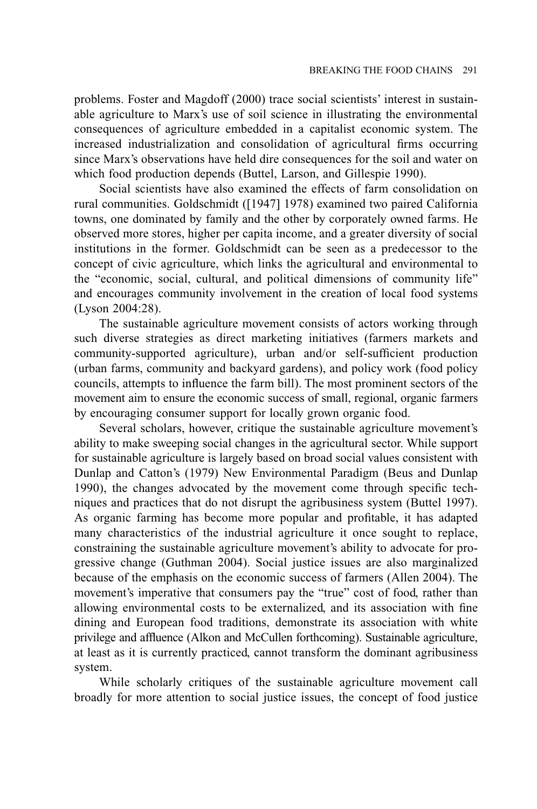problems. Foster and Magdoff (2000) trace social scientists' interest in sustainable agriculture to Marx's use of soil science in illustrating the environmental consequences of agriculture embedded in a capitalist economic system. The increased industrialization and consolidation of agricultural firms occurring since Marx's observations have held dire consequences for the soil and water on which food production depends (Buttel, Larson, and Gillespie 1990).

Social scientists have also examined the effects of farm consolidation on rural communities. Goldschmidt ([1947] 1978) examined two paired California towns, one dominated by family and the other by corporately owned farms. He observed more stores, higher per capita income, and a greater diversity of social institutions in the former. Goldschmidt can be seen as a predecessor to the concept of civic agriculture, which links the agricultural and environmental to the "economic, social, cultural, and political dimensions of community life" and encourages community involvement in the creation of local food systems (Lyson 2004:28).

The sustainable agriculture movement consists of actors working through such diverse strategies as direct marketing initiatives (farmers markets and community-supported agriculture), urban and/or self-sufficient production (urban farms, community and backyard gardens), and policy work (food policy councils, attempts to influence the farm bill). The most prominent sectors of the movement aim to ensure the economic success of small, regional, organic farmers by encouraging consumer support for locally grown organic food.

Several scholars, however, critique the sustainable agriculture movement's ability to make sweeping social changes in the agricultural sector. While support for sustainable agriculture is largely based on broad social values consistent with Dunlap and Catton's (1979) New Environmental Paradigm (Beus and Dunlap 1990), the changes advocated by the movement come through specific techniques and practices that do not disrupt the agribusiness system (Buttel 1997). As organic farming has become more popular and profitable, it has adapted many characteristics of the industrial agriculture it once sought to replace, constraining the sustainable agriculture movement's ability to advocate for progressive change (Guthman 2004). Social justice issues are also marginalized because of the emphasis on the economic success of farmers (Allen 2004). The movement's imperative that consumers pay the "true" cost of food, rather than allowing environmental costs to be externalized, and its association with fine dining and European food traditions, demonstrate its association with white privilege and affluence (Alkon and McCullen forthcoming). Sustainable agriculture, at least as it is currently practiced, cannot transform the dominant agribusiness system.

While scholarly critiques of the sustainable agriculture movement call broadly for more attention to social justice issues, the concept of food justice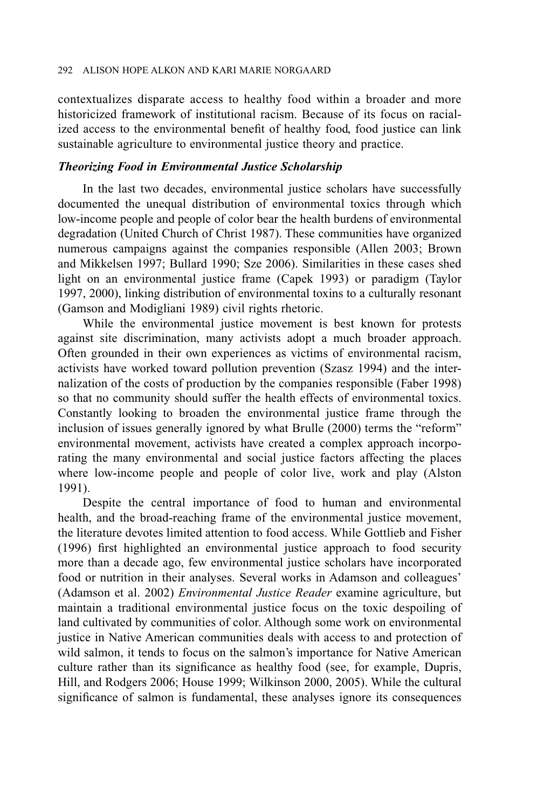contextualizes disparate access to healthy food within a broader and more historicized framework of institutional racism. Because of its focus on racialized access to the environmental benefit of healthy food, food justice can link sustainable agriculture to environmental justice theory and practice.

## *Theorizing Food in Environmental Justice Scholarship*

In the last two decades, environmental justice scholars have successfully documented the unequal distribution of environmental toxics through which low-income people and people of color bear the health burdens of environmental degradation (United Church of Christ 1987). These communities have organized numerous campaigns against the companies responsible (Allen 2003; Brown and Mikkelsen 1997; Bullard 1990; Sze 2006). Similarities in these cases shed light on an environmental justice frame (Capek 1993) or paradigm (Taylor 1997, 2000), linking distribution of environmental toxins to a culturally resonant (Gamson and Modigliani 1989) civil rights rhetoric.

While the environmental justice movement is best known for protests against site discrimination, many activists adopt a much broader approach. Often grounded in their own experiences as victims of environmental racism, activists have worked toward pollution prevention (Szasz 1994) and the internalization of the costs of production by the companies responsible (Faber 1998) so that no community should suffer the health effects of environmental toxics. Constantly looking to broaden the environmental justice frame through the inclusion of issues generally ignored by what Brulle (2000) terms the "reform" environmental movement, activists have created a complex approach incorporating the many environmental and social justice factors affecting the places where low-income people and people of color live, work and play (Alston 1991).

Despite the central importance of food to human and environmental health, and the broad-reaching frame of the environmental justice movement, the literature devotes limited attention to food access. While Gottlieb and Fisher (1996) first highlighted an environmental justice approach to food security more than a decade ago, few environmental justice scholars have incorporated food or nutrition in their analyses. Several works in Adamson and colleagues' (Adamson et al. 2002) *Environmental Justice Reader* examine agriculture, but maintain a traditional environmental justice focus on the toxic despoiling of land cultivated by communities of color. Although some work on environmental justice in Native American communities deals with access to and protection of wild salmon, it tends to focus on the salmon's importance for Native American culture rather than its significance as healthy food (see, for example, Dupris, Hill, and Rodgers 2006; House 1999; Wilkinson 2000, 2005). While the cultural significance of salmon is fundamental, these analyses ignore its consequences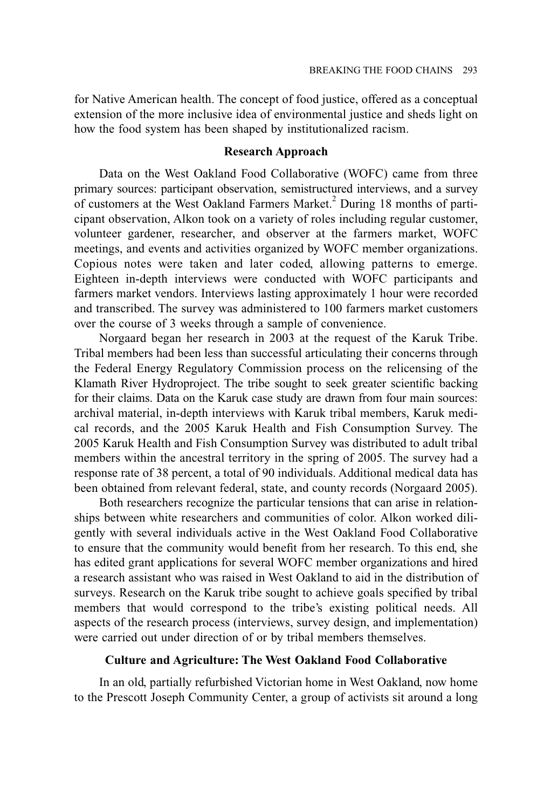for Native American health. The concept of food justice, offered as a conceptual extension of the more inclusive idea of environmental justice and sheds light on how the food system has been shaped by institutionalized racism.

### **Research Approach**

Data on the West Oakland Food Collaborative (WOFC) came from three primary sources: participant observation, semistructured interviews, and a survey of customers at the West Oakland Farmers Market.<sup>2</sup> During 18 months of participant observation, Alkon took on a variety of roles including regular customer, volunteer gardener, researcher, and observer at the farmers market, WOFC meetings, and events and activities organized by WOFC member organizations. Copious notes were taken and later coded, allowing patterns to emerge. Eighteen in-depth interviews were conducted with WOFC participants and farmers market vendors. Interviews lasting approximately 1 hour were recorded and transcribed. The survey was administered to 100 farmers market customers over the course of 3 weeks through a sample of convenience.

Norgaard began her research in 2003 at the request of the Karuk Tribe. Tribal members had been less than successful articulating their concerns through the Federal Energy Regulatory Commission process on the relicensing of the Klamath River Hydroproject. The tribe sought to seek greater scientific backing for their claims. Data on the Karuk case study are drawn from four main sources: archival material, in-depth interviews with Karuk tribal members, Karuk medical records, and the 2005 Karuk Health and Fish Consumption Survey. The 2005 Karuk Health and Fish Consumption Survey was distributed to adult tribal members within the ancestral territory in the spring of 2005. The survey had a response rate of 38 percent, a total of 90 individuals. Additional medical data has been obtained from relevant federal, state, and county records (Norgaard 2005).

Both researchers recognize the particular tensions that can arise in relationships between white researchers and communities of color. Alkon worked diligently with several individuals active in the West Oakland Food Collaborative to ensure that the community would benefit from her research. To this end, she has edited grant applications for several WOFC member organizations and hired a research assistant who was raised in West Oakland to aid in the distribution of surveys. Research on the Karuk tribe sought to achieve goals specified by tribal members that would correspond to the tribe's existing political needs. All aspects of the research process (interviews, survey design, and implementation) were carried out under direction of or by tribal members themselves.

### **Culture and Agriculture: The West Oakland Food Collaborative**

In an old, partially refurbished Victorian home in West Oakland, now home to the Prescott Joseph Community Center, a group of activists sit around a long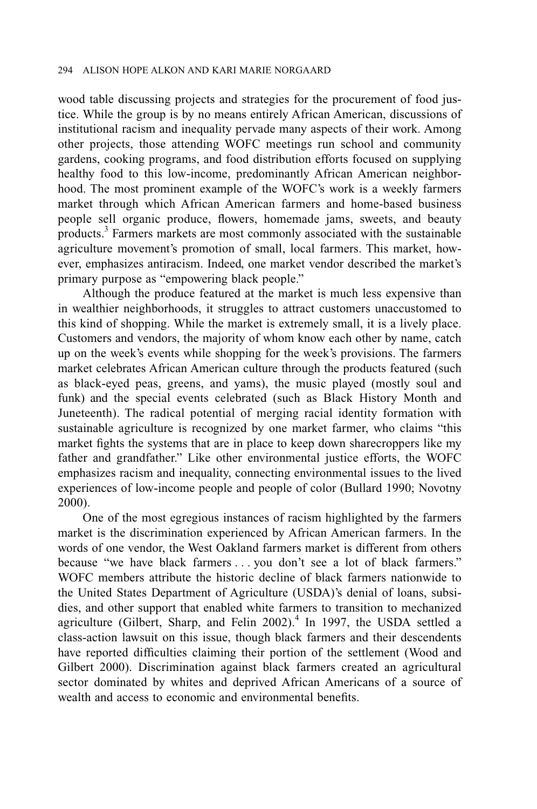wood table discussing projects and strategies for the procurement of food justice. While the group is by no means entirely African American, discussions of institutional racism and inequality pervade many aspects of their work. Among other projects, those attending WOFC meetings run school and community gardens, cooking programs, and food distribution efforts focused on supplying healthy food to this low-income, predominantly African American neighborhood. The most prominent example of the WOFC's work is a weekly farmers market through which African American farmers and home-based business people sell organic produce, flowers, homemade jams, sweets, and beauty products.<sup>3</sup> Farmers markets are most commonly associated with the sustainable agriculture movement's promotion of small, local farmers. This market, however, emphasizes antiracism. Indeed, one market vendor described the market's primary purpose as "empowering black people."

Although the produce featured at the market is much less expensive than in wealthier neighborhoods, it struggles to attract customers unaccustomed to this kind of shopping. While the market is extremely small, it is a lively place. Customers and vendors, the majority of whom know each other by name, catch up on the week's events while shopping for the week's provisions. The farmers market celebrates African American culture through the products featured (such as black-eyed peas, greens, and yams), the music played (mostly soul and funk) and the special events celebrated (such as Black History Month and Juneteenth). The radical potential of merging racial identity formation with sustainable agriculture is recognized by one market farmer, who claims "this market fights the systems that are in place to keep down sharecroppers like my father and grandfather." Like other environmental justice efforts, the WOFC emphasizes racism and inequality, connecting environmental issues to the lived experiences of low-income people and people of color (Bullard 1990; Novotny 2000).

One of the most egregious instances of racism highlighted by the farmers market is the discrimination experienced by African American farmers. In the words of one vendor, the West Oakland farmers market is different from others because "we have black farmers . . . you don't see a lot of black farmers." WOFC members attribute the historic decline of black farmers nationwide to the United States Department of Agriculture (USDA)'s denial of loans, subsidies, and other support that enabled white farmers to transition to mechanized agriculture (Gilbert, Sharp, and Felin 2002). $^{4}$  In 1997, the USDA settled a class-action lawsuit on this issue, though black farmers and their descendents have reported difficulties claiming their portion of the settlement (Wood and Gilbert 2000). Discrimination against black farmers created an agricultural sector dominated by whites and deprived African Americans of a source of wealth and access to economic and environmental benefits.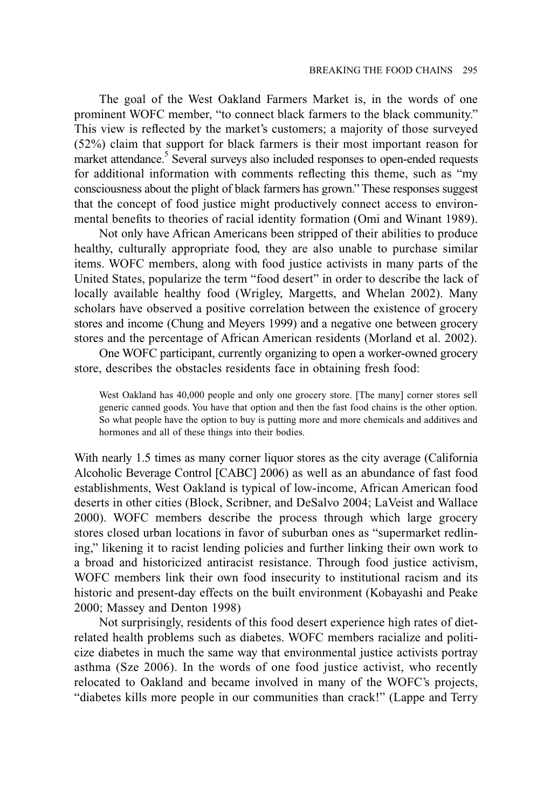The goal of the West Oakland Farmers Market is, in the words of one prominent WOFC member, "to connect black farmers to the black community." This view is reflected by the market's customers; a majority of those surveyed (52%) claim that support for black farmers is their most important reason for market attendance.<sup>5</sup> Several surveys also included responses to open-ended requests for additional information with comments reflecting this theme, such as "my consciousness about the plight of black farmers has grown." These responses suggest that the concept of food justice might productively connect access to environmental benefits to theories of racial identity formation (Omi and Winant 1989).

Not only have African Americans been stripped of their abilities to produce healthy, culturally appropriate food, they are also unable to purchase similar items. WOFC members, along with food justice activists in many parts of the United States, popularize the term "food desert" in order to describe the lack of locally available healthy food (Wrigley, Margetts, and Whelan 2002). Many scholars have observed a positive correlation between the existence of grocery stores and income (Chung and Meyers 1999) and a negative one between grocery stores and the percentage of African American residents (Morland et al. 2002).

One WOFC participant, currently organizing to open a worker-owned grocery store, describes the obstacles residents face in obtaining fresh food:

West Oakland has 40,000 people and only one grocery store. [The many] corner stores sell generic canned goods. You have that option and then the fast food chains is the other option. So what people have the option to buy is putting more and more chemicals and additives and hormones and all of these things into their bodies.

With nearly 1.5 times as many corner liquor stores as the city average (California Alcoholic Beverage Control [CABC] 2006) as well as an abundance of fast food establishments, West Oakland is typical of low-income, African American food deserts in other cities (Block, Scribner, and DeSalvo 2004; LaVeist and Wallace 2000). WOFC members describe the process through which large grocery stores closed urban locations in favor of suburban ones as "supermarket redlining," likening it to racist lending policies and further linking their own work to a broad and historicized antiracist resistance. Through food justice activism, WOFC members link their own food insecurity to institutional racism and its historic and present-day effects on the built environment (Kobayashi and Peake 2000; Massey and Denton 1998)

Not surprisingly, residents of this food desert experience high rates of dietrelated health problems such as diabetes. WOFC members racialize and politicize diabetes in much the same way that environmental justice activists portray asthma (Sze 2006). In the words of one food justice activist, who recently relocated to Oakland and became involved in many of the WOFC's projects, "diabetes kills more people in our communities than crack!" (Lappe and Terry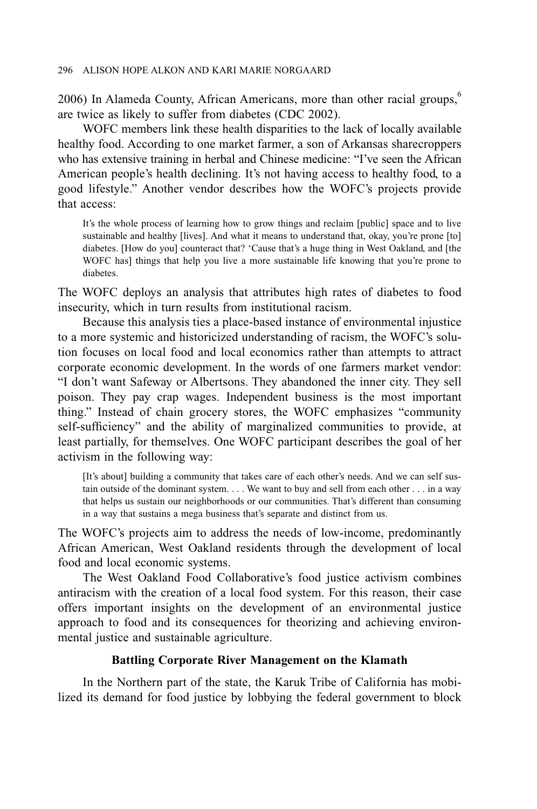2006) In Alameda County, African Americans, more than other racial groups,<sup>6</sup> are twice as likely to suffer from diabetes (CDC 2002).

WOFC members link these health disparities to the lack of locally available healthy food. According to one market farmer, a son of Arkansas sharecroppers who has extensive training in herbal and Chinese medicine: "I've seen the African American people's health declining. It's not having access to healthy food, to a good lifestyle." Another vendor describes how the WOFC's projects provide that access:

It's the whole process of learning how to grow things and reclaim [public] space and to live sustainable and healthy [lives]. And what it means to understand that, okay, you're prone [to] diabetes. [How do you] counteract that? 'Cause that's a huge thing in West Oakland, and [the WOFC has] things that help you live a more sustainable life knowing that you're prone to diabetes.

The WOFC deploys an analysis that attributes high rates of diabetes to food insecurity, which in turn results from institutional racism.

Because this analysis ties a place-based instance of environmental injustice to a more systemic and historicized understanding of racism, the WOFC's solution focuses on local food and local economics rather than attempts to attract corporate economic development. In the words of one farmers market vendor: "I don't want Safeway or Albertsons. They abandoned the inner city. They sell poison. They pay crap wages. Independent business is the most important thing." Instead of chain grocery stores, the WOFC emphasizes "community self-sufficiency" and the ability of marginalized communities to provide, at least partially, for themselves. One WOFC participant describes the goal of her activism in the following way:

[It's about] building a community that takes care of each other's needs. And we can self sustain outside of the dominant system. . . . We want to buy and sell from each other . . . in a way that helps us sustain our neighborhoods or our communities. That's different than consuming in a way that sustains a mega business that's separate and distinct from us.

The WOFC's projects aim to address the needs of low-income, predominantly African American, West Oakland residents through the development of local food and local economic systems.

The West Oakland Food Collaborative's food justice activism combines antiracism with the creation of a local food system. For this reason, their case offers important insights on the development of an environmental justice approach to food and its consequences for theorizing and achieving environmental justice and sustainable agriculture.

#### **Battling Corporate River Management on the Klamath**

In the Northern part of the state, the Karuk Tribe of California has mobilized its demand for food justice by lobbying the federal government to block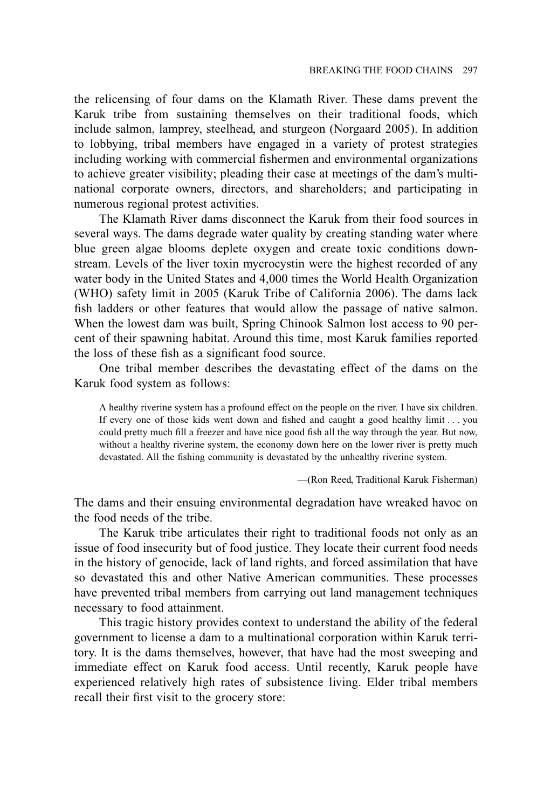the relicensing of four dams on the Klamath River. These dams prevent the Karuk tribe from sustaining themselves on their traditional foods, which include salmon, lamprey, steelhead, and sturgeon (Norgaard 2005). In addition to lobbying, tribal members have engaged in a variety of protest strategies including working with commercial fishermen and environmental organizations to achieve greater visibility; pleading their case at meetings of the dam's multinational corporate owners, directors, and shareholders; and participating in numerous regional protest activities.

The Klamath River dams disconnect the Karuk from their food sources in several ways. The dams degrade water quality by creating standing water where blue green algae blooms deplete oxygen and create toxic conditions downstream. Levels of the liver toxin mycrocystin were the highest recorded of any water body in the United States and 4,000 times the World Health Organization (WHO) safety limit in 2005 (Karuk Tribe of California 2006). The dams lack fish ladders or other features that would allow the passage of native salmon. When the lowest dam was built, Spring Chinook Salmon lost access to 90 percent of their spawning habitat. Around this time, most Karuk families reported the loss of these fish as a significant food source.

One tribal member describes the devastating effect of the dams on the Karuk food system as follows:

A healthy riverine system has a profound effect on the people on the river. I have six children. If every one of those kids went down and fished and caught a good healthy limit . . . you could pretty much fill a freezer and have nice good fish all the way through the year. But now, without a healthy riverine system, the economy down here on the lower river is pretty much devastated. All the fishing community is devastated by the unhealthy riverine system.

—(Ron Reed, Traditional Karuk Fisherman)

The dams and their ensuing environmental degradation have wreaked havoc on the food needs of the tribe.

The Karuk tribe articulates their right to traditional foods not only as an issue of food insecurity but of food justice. They locate their current food needs in the history of genocide, lack of land rights, and forced assimilation that have so devastated this and other Native American communities. These processes have prevented tribal members from carrying out land management techniques necessary to food attainment.

This tragic history provides context to understand the ability of the federal government to license a dam to a multinational corporation within Karuk territory. It is the dams themselves, however, that have had the most sweeping and immediate effect on Karuk food access. Until recently, Karuk people have experienced relatively high rates of subsistence living. Elder tribal members recall their first visit to the grocery store: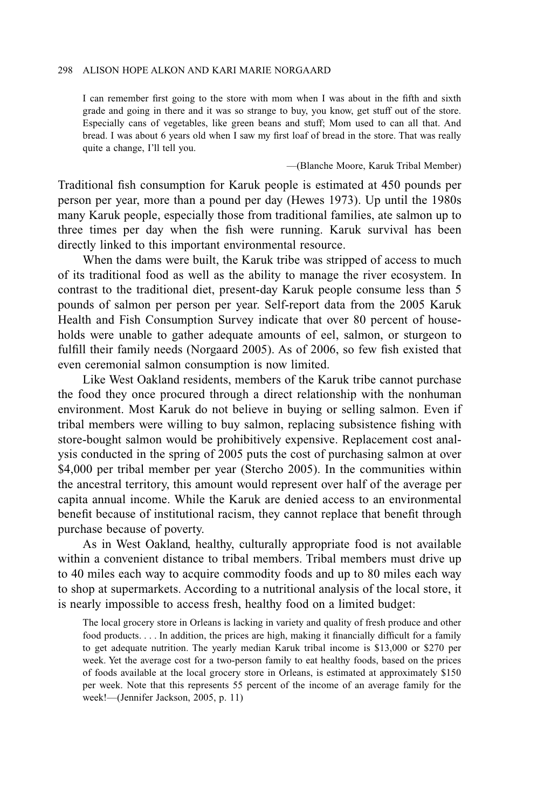I can remember first going to the store with mom when I was about in the fifth and sixth grade and going in there and it was so strange to buy, you know, get stuff out of the store. Especially cans of vegetables, like green beans and stuff; Mom used to can all that. And bread. I was about 6 years old when I saw my first loaf of bread in the store. That was really quite a change, I'll tell you.

—(Blanche Moore, Karuk Tribal Member)

Traditional fish consumption for Karuk people is estimated at 450 pounds per person per year, more than a pound per day (Hewes 1973). Up until the 1980s many Karuk people, especially those from traditional families, ate salmon up to three times per day when the fish were running. Karuk survival has been directly linked to this important environmental resource.

When the dams were built, the Karuk tribe was stripped of access to much of its traditional food as well as the ability to manage the river ecosystem. In contrast to the traditional diet, present-day Karuk people consume less than 5 pounds of salmon per person per year. Self-report data from the 2005 Karuk Health and Fish Consumption Survey indicate that over 80 percent of households were unable to gather adequate amounts of eel, salmon, or sturgeon to fulfill their family needs (Norgaard 2005). As of 2006, so few fish existed that even ceremonial salmon consumption is now limited.

Like West Oakland residents, members of the Karuk tribe cannot purchase the food they once procured through a direct relationship with the nonhuman environment. Most Karuk do not believe in buying or selling salmon. Even if tribal members were willing to buy salmon, replacing subsistence fishing with store-bought salmon would be prohibitively expensive. Replacement cost analysis conducted in the spring of 2005 puts the cost of purchasing salmon at over \$4,000 per tribal member per year (Stercho 2005). In the communities within the ancestral territory, this amount would represent over half of the average per capita annual income. While the Karuk are denied access to an environmental benefit because of institutional racism, they cannot replace that benefit through purchase because of poverty.

As in West Oakland, healthy, culturally appropriate food is not available within a convenient distance to tribal members. Tribal members must drive up to 40 miles each way to acquire commodity foods and up to 80 miles each way to shop at supermarkets. According to a nutritional analysis of the local store, it is nearly impossible to access fresh, healthy food on a limited budget:

The local grocery store in Orleans is lacking in variety and quality of fresh produce and other food products. . . . In addition, the prices are high, making it financially difficult for a family to get adequate nutrition. The yearly median Karuk tribal income is \$13,000 or \$270 per week. Yet the average cost for a two-person family to eat healthy foods, based on the prices of foods available at the local grocery store in Orleans, is estimated at approximately \$150 per week. Note that this represents 55 percent of the income of an average family for the week!—(Jennifer Jackson, 2005, p. 11)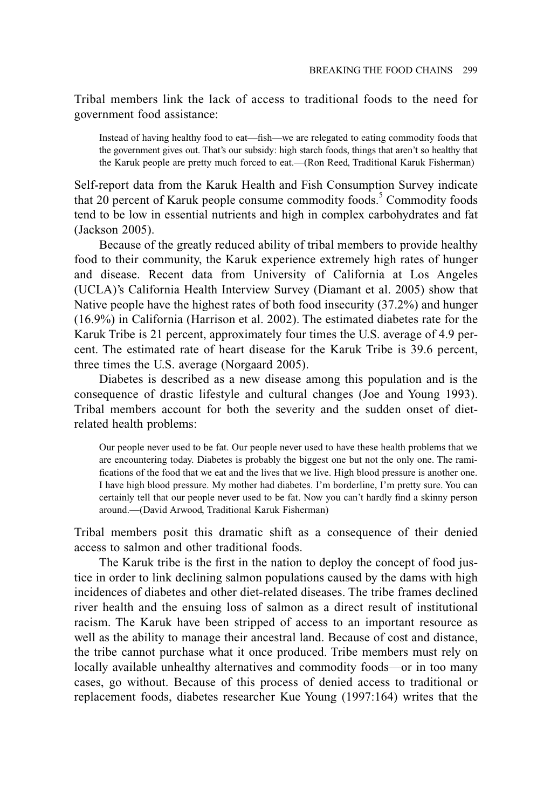Tribal members link the lack of access to traditional foods to the need for government food assistance:

Instead of having healthy food to eat—fish—we are relegated to eating commodity foods that the government gives out. That's our subsidy: high starch foods, things that aren't so healthy that the Karuk people are pretty much forced to eat.—(Ron Reed, Traditional Karuk Fisherman)

Self-report data from the Karuk Health and Fish Consumption Survey indicate that 20 percent of Karuk people consume commodity foods.<sup>5</sup> Commodity foods tend to be low in essential nutrients and high in complex carbohydrates and fat (Jackson 2005).

Because of the greatly reduced ability of tribal members to provide healthy food to their community, the Karuk experience extremely high rates of hunger and disease. Recent data from University of California at Los Angeles (UCLA)'s California Health Interview Survey (Diamant et al. 2005) show that Native people have the highest rates of both food insecurity (37.2%) and hunger (16.9%) in California (Harrison et al. 2002). The estimated diabetes rate for the Karuk Tribe is 21 percent, approximately four times the U.S. average of 4.9 percent. The estimated rate of heart disease for the Karuk Tribe is 39.6 percent, three times the U.S. average (Norgaard 2005).

Diabetes is described as a new disease among this population and is the consequence of drastic lifestyle and cultural changes (Joe and Young 1993). Tribal members account for both the severity and the sudden onset of dietrelated health problems:

Our people never used to be fat. Our people never used to have these health problems that we are encountering today. Diabetes is probably the biggest one but not the only one. The ramifications of the food that we eat and the lives that we live. High blood pressure is another one. I have high blood pressure. My mother had diabetes. I'm borderline, I'm pretty sure. You can certainly tell that our people never used to be fat. Now you can't hardly find a skinny person around.—(David Arwood, Traditional Karuk Fisherman)

Tribal members posit this dramatic shift as a consequence of their denied access to salmon and other traditional foods.

The Karuk tribe is the first in the nation to deploy the concept of food justice in order to link declining salmon populations caused by the dams with high incidences of diabetes and other diet-related diseases. The tribe frames declined river health and the ensuing loss of salmon as a direct result of institutional racism. The Karuk have been stripped of access to an important resource as well as the ability to manage their ancestral land. Because of cost and distance, the tribe cannot purchase what it once produced. Tribe members must rely on locally available unhealthy alternatives and commodity foods—or in too many cases, go without. Because of this process of denied access to traditional or replacement foods, diabetes researcher Kue Young (1997:164) writes that the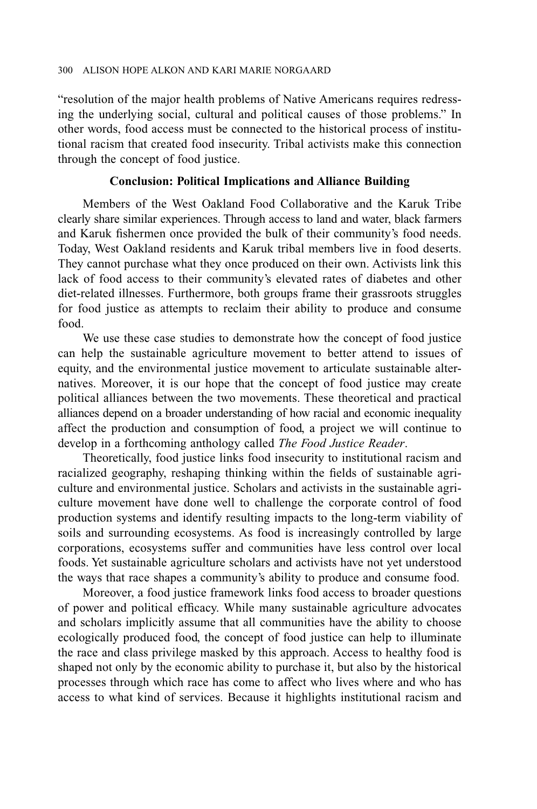"resolution of the major health problems of Native Americans requires redressing the underlying social, cultural and political causes of those problems." In other words, food access must be connected to the historical process of institutional racism that created food insecurity. Tribal activists make this connection through the concept of food justice.

## **Conclusion: Political Implications and Alliance Building**

Members of the West Oakland Food Collaborative and the Karuk Tribe clearly share similar experiences. Through access to land and water, black farmers and Karuk fishermen once provided the bulk of their community's food needs. Today, West Oakland residents and Karuk tribal members live in food deserts. They cannot purchase what they once produced on their own. Activists link this lack of food access to their community's elevated rates of diabetes and other diet-related illnesses. Furthermore, both groups frame their grassroots struggles for food justice as attempts to reclaim their ability to produce and consume food.

We use these case studies to demonstrate how the concept of food justice can help the sustainable agriculture movement to better attend to issues of equity, and the environmental justice movement to articulate sustainable alternatives. Moreover, it is our hope that the concept of food justice may create political alliances between the two movements. These theoretical and practical alliances depend on a broader understanding of how racial and economic inequality affect the production and consumption of food, a project we will continue to develop in a forthcoming anthology called *The Food Justice Reader*.

Theoretically, food justice links food insecurity to institutional racism and racialized geography, reshaping thinking within the fields of sustainable agriculture and environmental justice. Scholars and activists in the sustainable agriculture movement have done well to challenge the corporate control of food production systems and identify resulting impacts to the long-term viability of soils and surrounding ecosystems. As food is increasingly controlled by large corporations, ecosystems suffer and communities have less control over local foods. Yet sustainable agriculture scholars and activists have not yet understood the ways that race shapes a community's ability to produce and consume food.

Moreover, a food justice framework links food access to broader questions of power and political efficacy. While many sustainable agriculture advocates and scholars implicitly assume that all communities have the ability to choose ecologically produced food, the concept of food justice can help to illuminate the race and class privilege masked by this approach. Access to healthy food is shaped not only by the economic ability to purchase it, but also by the historical processes through which race has come to affect who lives where and who has access to what kind of services. Because it highlights institutional racism and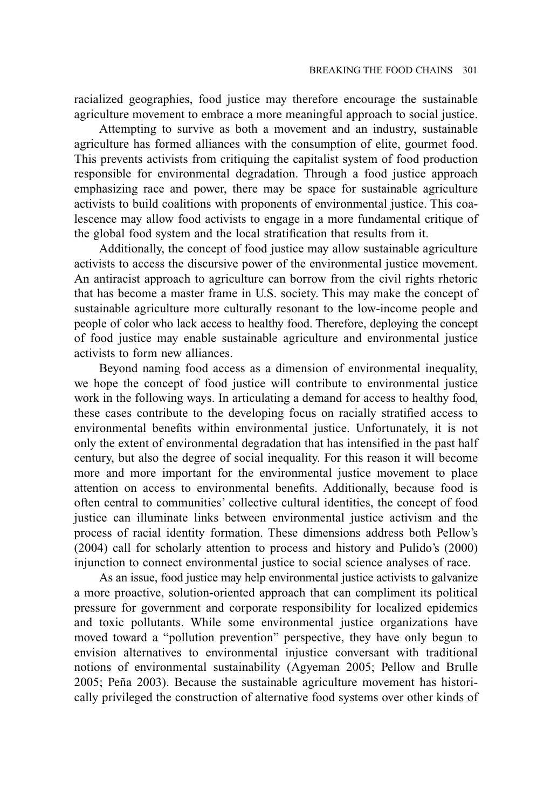racialized geographies, food justice may therefore encourage the sustainable agriculture movement to embrace a more meaningful approach to social justice.

Attempting to survive as both a movement and an industry, sustainable agriculture has formed alliances with the consumption of elite, gourmet food. This prevents activists from critiquing the capitalist system of food production responsible for environmental degradation. Through a food justice approach emphasizing race and power, there may be space for sustainable agriculture activists to build coalitions with proponents of environmental justice. This coalescence may allow food activists to engage in a more fundamental critique of the global food system and the local stratification that results from it.

Additionally, the concept of food justice may allow sustainable agriculture activists to access the discursive power of the environmental justice movement. An antiracist approach to agriculture can borrow from the civil rights rhetoric that has become a master frame in U.S. society. This may make the concept of sustainable agriculture more culturally resonant to the low-income people and people of color who lack access to healthy food. Therefore, deploying the concept of food justice may enable sustainable agriculture and environmental justice activists to form new alliances.

Beyond naming food access as a dimension of environmental inequality, we hope the concept of food justice will contribute to environmental justice work in the following ways. In articulating a demand for access to healthy food, these cases contribute to the developing focus on racially stratified access to environmental benefits within environmental justice. Unfortunately, it is not only the extent of environmental degradation that has intensified in the past half century, but also the degree of social inequality. For this reason it will become more and more important for the environmental justice movement to place attention on access to environmental benefits. Additionally, because food is often central to communities' collective cultural identities, the concept of food justice can illuminate links between environmental justice activism and the process of racial identity formation. These dimensions address both Pellow's (2004) call for scholarly attention to process and history and Pulido's (2000) injunction to connect environmental justice to social science analyses of race.

As an issue, food justice may help environmental justice activists to galvanize a more proactive, solution-oriented approach that can compliment its political pressure for government and corporate responsibility for localized epidemics and toxic pollutants. While some environmental justice organizations have moved toward a "pollution prevention" perspective, they have only begun to envision alternatives to environmental injustice conversant with traditional notions of environmental sustainability (Agyeman 2005; Pellow and Brulle 2005; Peña 2003). Because the sustainable agriculture movement has historically privileged the construction of alternative food systems over other kinds of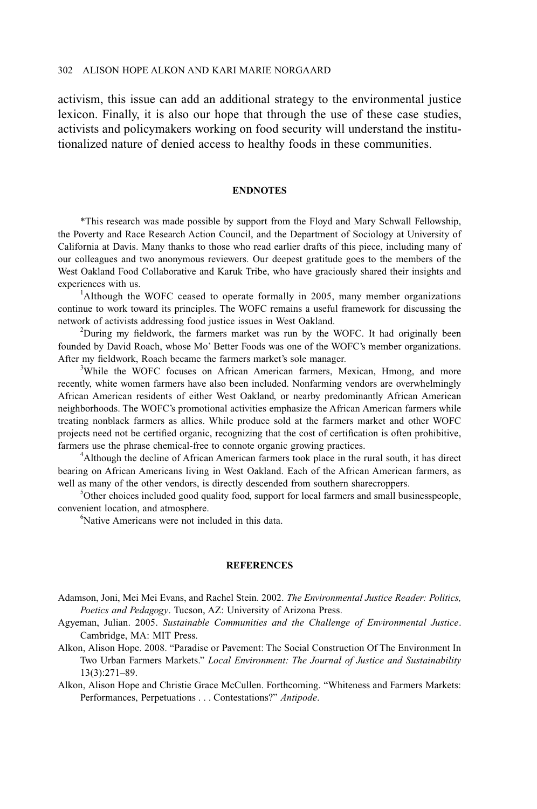activism, this issue can add an additional strategy to the environmental justice lexicon. Finally, it is also our hope that through the use of these case studies, activists and policymakers working on food security will understand the institutionalized nature of denied access to healthy foods in these communities.

#### **ENDNOTES**

\*This research was made possible by support from the Floyd and Mary Schwall Fellowship, the Poverty and Race Research Action Council, and the Department of Sociology at University of California at Davis. Many thanks to those who read earlier drafts of this piece, including many of our colleagues and two anonymous reviewers. Our deepest gratitude goes to the members of the West Oakland Food Collaborative and Karuk Tribe, who have graciously shared their insights and experiences with us.

<sup>1</sup>Although the WOFC ceased to operate formally in 2005, many member organizations continue to work toward its principles. The WOFC remains a useful framework for discussing the network of activists addressing food justice issues in West Oakland.

 $2$ During my fieldwork, the farmers market was run by the WOFC. It had originally been founded by David Roach, whose Mo' Better Foods was one of the WOFC's member organizations. After my fieldwork, Roach became the farmers market's sole manager.

<sup>3</sup>While the WOFC focuses on African American farmers, Mexican, Hmong, and more recently, white women farmers have also been included. Nonfarming vendors are overwhelmingly African American residents of either West Oakland, or nearby predominantly African American neighborhoods. The WOFC's promotional activities emphasize the African American farmers while treating nonblack farmers as allies. While produce sold at the farmers market and other WOFC projects need not be certified organic, recognizing that the cost of certification is often prohibitive, farmers use the phrase chemical-free to connote organic growing practices.

4 Although the decline of African American farmers took place in the rural south, it has direct bearing on African Americans living in West Oakland. Each of the African American farmers, as well as many of the other vendors, is directly descended from southern sharecroppers.

<sup>5</sup>Other choices included good quality food, support for local farmers and small businesspeople, convenient location, and atmosphere.

6 Native Americans were not included in this data.

#### **REFERENCES**

- Adamson, Joni, Mei Mei Evans, and Rachel Stein. 2002. *The Environmental Justice Reader: Politics, Poetics and Pedagogy*. Tucson, AZ: University of Arizona Press.
- Agyeman, Julian. 2005. *Sustainable Communities and the Challenge of Environmental Justice*. Cambridge, MA: MIT Press.
- Alkon, Alison Hope. 2008. "Paradise or Pavement: The Social Construction Of The Environment In Two Urban Farmers Markets." *Local Environment: The Journal of Justice and Sustainability* 13(3):271–89.

Alkon, Alison Hope and Christie Grace McCullen. Forthcoming. "Whiteness and Farmers Markets: Performances, Perpetuations . . . Contestations?" *Antipode*.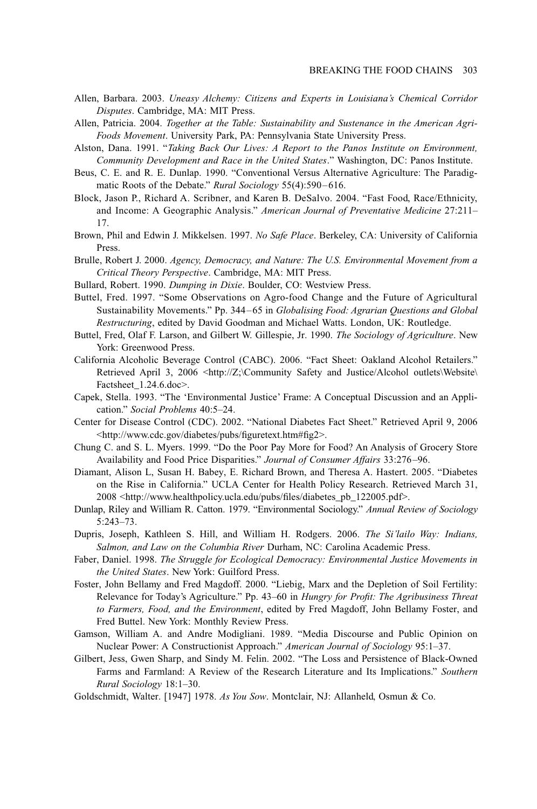- Allen, Barbara. 2003. *Uneasy Alchemy: Citizens and Experts in Louisiana's Chemical Corridor Disputes*. Cambridge, MA: MIT Press.
- Allen, Patricia. 2004. *Together at the Table: Sustainability and Sustenance in the American Agri-Foods Movement*. University Park, PA: Pennsylvania State University Press.
- Alston, Dana. 1991. "*Taking Back Our Lives: A Report to the Panos Institute on Environment, Community Development and Race in the United States*." Washington, DC: Panos Institute.
- Beus, C. E. and R. E. Dunlap. 1990. "Conventional Versus Alternative Agriculture: The Paradigmatic Roots of the Debate." *Rural Sociology* 55(4):590–616.
- Block, Jason P., Richard A. Scribner, and Karen B. DeSalvo. 2004. "Fast Food, Race/Ethnicity, and Income: A Geographic Analysis." *American Journal of Preventative Medicine* 27:211– 17.
- Brown, Phil and Edwin J. Mikkelsen. 1997. *No Safe Place*. Berkeley, CA: University of California Press.
- Brulle, Robert J. 2000. *Agency, Democracy, and Nature: The U.S. Environmental Movement from a Critical Theory Perspective*. Cambridge, MA: MIT Press.
- Bullard, Robert. 1990. *Dumping in Dixie*. Boulder, CO: Westview Press.
- Buttel, Fred. 1997. "Some Observations on Agro-food Change and the Future of Agricultural Sustainability Movements." Pp. 344–65 in *Globalising Food: Agrarian Questions and Global Restructuring*, edited by David Goodman and Michael Watts. London, UK: Routledge.
- Buttel, Fred, Olaf F. Larson, and Gilbert W. Gillespie, Jr. 1990. *The Sociology of Agriculture*. New York: Greenwood Press.
- California Alcoholic Beverage Control (CABC). 2006. "Fact Sheet: Oakland Alcohol Retailers." Retrieved April 3, 2006 [<http://Z;\Communit](http://Z;\Community)[y Safety and Justice/Alcohol outlets\Websi](http://Z;\CommunitySafetyandJustice/Alcoholoutlets\Website\Factsheet_1.24.6.doc)te\ Factsheet 1.24.6.doc>.
- Capek, Stella. 1993. "The 'Environmental Justice' Frame: A Conceptual Discussion and an Application." *Social Problems* 40:5–24.
- Center for Disease Control (CDC). 2002. "National Diabetes Fact Sheet." Retrieved April 9, 2006 [<http://www.cdc.gov/diabetes/pubs/figuretext.htm#fig2>.](http://www.cdc.gov/diabetes/pubs/figuretext.htm#fig2)
- Chung C. and S. L. Myers. 1999. "Do the Poor Pay More for Food? An Analysis of Grocery Store Availability and Food Price Disparities." *Journal of Consumer Affairs* 33:276–96.
- Diamant, Alison L, Susan H. Babey, E. Richard Brown, and Theresa A. Hastert. 2005. "Diabetes on the Rise in California." UCLA Center for Health Policy Research. Retrieved March 31, 2008 [<http://www.healthpolicy.ucla.edu/pubs/files/diabetes\\_pb\\_122005.pdf>.](http://www.healthpolicy.ucla.edu/pubs/files/diabetes_pb_122005.pdf)
- Dunlap, Riley and William R. Catton. 1979. "Environmental Sociology." *Annual Review of Sociology* 5:243–73.
- Dupris, Joseph, Kathleen S. Hill, and William H. Rodgers. 2006. *The Si'lailo Way: Indians, Salmon, and Law on the Columbia River* Durham, NC: Carolina Academic Press.
- Faber, Daniel. 1998. *The Struggle for Ecological Democracy: Environmental Justice Movements in the United States*. New York: Guilford Press.
- Foster, John Bellamy and Fred Magdoff. 2000. "Liebig, Marx and the Depletion of Soil Fertility: Relevance for Today's Agriculture." Pp. 43–60 in *Hungry for Profit: The Agribusiness Threat to Farmers, Food, and the Environment*, edited by Fred Magdoff, John Bellamy Foster, and Fred Buttel. New York: Monthly Review Press.
- Gamson, William A. and Andre Modigliani. 1989. "Media Discourse and Public Opinion on Nuclear Power: A Constructionist Approach." *American Journal of Sociology* 95:1–37.
- Gilbert, Jess, Gwen Sharp, and Sindy M. Felin. 2002. "The Loss and Persistence of Black-Owned Farms and Farmland: A Review of the Research Literature and Its Implications." *Southern Rural Sociology* 18:1–30.

Goldschmidt, Walter. [1947] 1978. *As You Sow*. Montclair, NJ: Allanheld, Osmun & Co.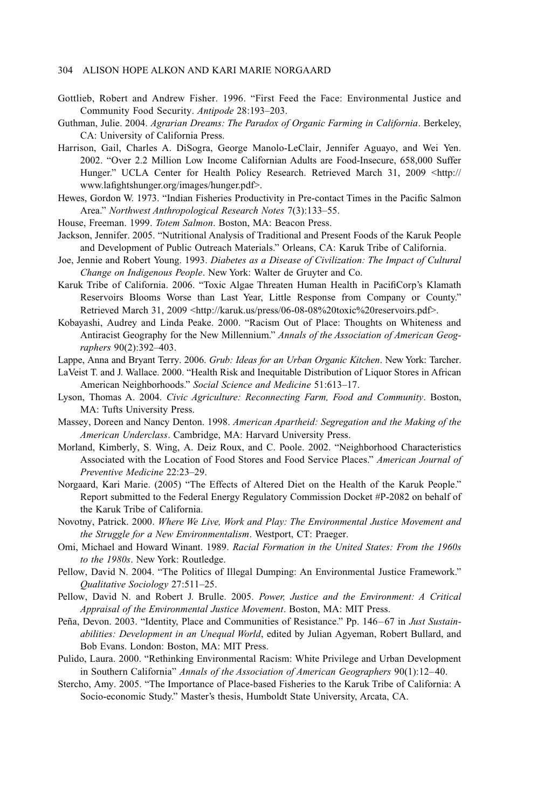- Gottlieb, Robert and Andrew Fisher. 1996. "First Feed the Face: Environmental Justice and Community Food Security. *Antipode* 28:193–203.
- Guthman, Julie. 2004. *Agrarian Dreams: The Paradox of Organic Farming in California*. Berkeley, CA: University of California Press.
- Harrison, Gail, Charles A. DiSogra, George Manolo-LeClair, Jennifer Aguayo, and Wei Yen. 2002. "Over 2.2 Million Low Income Californian Adults are Food-Insecure, 658,000 Suffer Hunger." UCLA Center for Health Policy Research. Retrieved March 31, 2009 [<http://](http://) www.lafightshunger.org/images/hunger.pdf>.
- Hewes, Gordon W. 1973. "Indian Fisheries Productivity in Pre-contact Times in the Pacific Salmon Area." *Northwest Anthropological Research Notes* 7(3):133–55.
- House, Freeman. 1999. *Totem Salmon*. Boston, MA: Beacon Press.
- Jackson, Jennifer. 2005. "Nutritional Analysis of Traditional and Present Foods of the Karuk People and Development of Public Outreach Materials." Orleans, CA: Karuk Tribe of California.
- Joe, Jennie and Robert Young. 1993. *Diabetes as a Disease of Civilization: The Impact of Cultural Change on Indigenous People*. New York: Walter de Gruyter and Co.
- Karuk Tribe of California. 2006. "Toxic Algae Threaten Human Health in PacifiCorp's Klamath Reservoirs Blooms Worse than Last Year, Little Response from Company or County." Retrieved March 31, 2009 [<http://karuk.us/press/06-08-08%20toxic%20reservoirs.pdf>.](http://karuk.us/press/06-08-08%20toxic%20reservoirs.pdf)
- Kobayashi, Audrey and Linda Peake. 2000. "Racism Out of Place: Thoughts on Whiteness and Antiracist Geography for the New Millennium." *Annals of the Association of American Geographers* 90(2):392–403.
- Lappe, Anna and Bryant Terry. 2006. *Grub: Ideas for an Urban Organic Kitchen*. New York: Tarcher.
- LaVeist T. and J. Wallace. 2000. "Health Risk and Inequitable Distribution of Liquor Stores in African American Neighborhoods." *Social Science and Medicine* 51:613–17.
- Lyson, Thomas A. 2004. *Civic Agriculture: Reconnecting Farm, Food and Community*. Boston, MA: Tufts University Press.
- Massey, Doreen and Nancy Denton. 1998. *American Apartheid: Segregation and the Making of the American Underclass*. Cambridge, MA: Harvard University Press.
- Morland, Kimberly, S. Wing, A. Deiz Roux, and C. Poole. 2002. "Neighborhood Characteristics Associated with the Location of Food Stores and Food Service Places." *American Journal of Preventive Medicine* 22:23–29.
- Norgaard, Kari Marie. (2005) "The Effects of Altered Diet on the Health of the Karuk People." Report submitted to the Federal Energy Regulatory Commission Docket #P-2082 on behalf of the Karuk Tribe of California.
- Novotny, Patrick. 2000. *Where We Live, Work and Play: The Environmental Justice Movement and the Struggle for a New Environmentalism*. Westport, CT: Praeger.
- Omi, Michael and Howard Winant. 1989. *Racial Formation in the United States: From the 1960s to the 1980s*. New York: Routledge.
- Pellow, David N. 2004. "The Politics of Illegal Dumping: An Environmental Justice Framework." *Qualitative Sociology* 27:511–25.
- Pellow, David N. and Robert J. Brulle. 2005. *Power, Justice and the Environment: A Critical Appraisal of the Environmental Justice Movement*. Boston, MA: MIT Press.
- Peña, Devon. 2003. "Identity, Place and Communities of Resistance." Pp. 146–67 in *Just Sustainabilities: Development in an Unequal World*, edited by Julian Agyeman, Robert Bullard, and Bob Evans. London: Boston, MA: MIT Press.
- Pulido, Laura. 2000. "Rethinking Environmental Racism: White Privilege and Urban Development in Southern California" *Annals of the Association of American Geographers* 90(1):12–40.
- Stercho, Amy. 2005. "The Importance of Place-based Fisheries to the Karuk Tribe of California: A Socio-economic Study." Master's thesis, Humboldt State University, Arcata, CA.